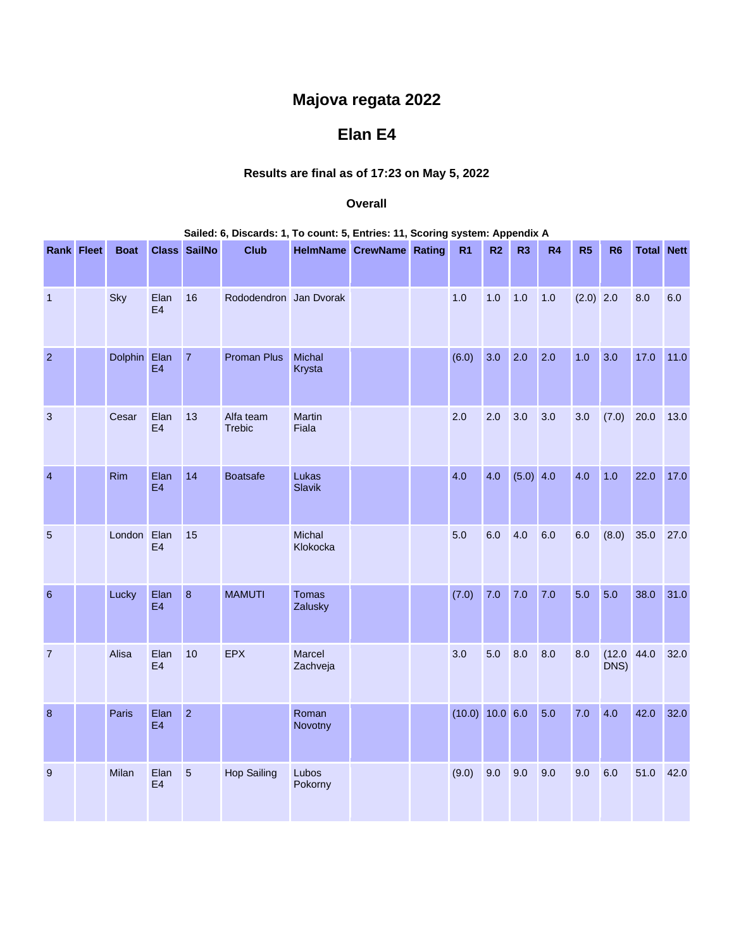## **Majova regata 2022**

## **Elan E4**

## **Results are final as of 17:23 on May 5, 2022**

## **Overall**

| Sailed: 6, Discards: 1, To count: 5, Entries: 11, Scoring system: Appendix A |  |              |                        |                |                            |                    |                                 |  |                 |                |                |     |                |                    |                   |      |
|------------------------------------------------------------------------------|--|--------------|------------------------|----------------|----------------------------|--------------------|---------------------------------|--|-----------------|----------------|----------------|-----|----------------|--------------------|-------------------|------|
| <b>Rank Fleet</b>                                                            |  | <b>Boat</b>  |                        | Class SailNo   | <b>Club</b>                |                    | <b>HelmName CrewName Rating</b> |  | R <sub>1</sub>  | R <sub>2</sub> | R <sub>3</sub> | R4  | R <sub>5</sub> | R <sub>6</sub>     | <b>Total Nett</b> |      |
| $\mathbf{1}$                                                                 |  | Sky          | Elan<br>E <sub>4</sub> | 16             | Rododendron Jan Dvorak     |                    |                                 |  | 1.0             | 1.0            | 1.0            | 1.0 | $(2.0)$ 2.0    |                    | 8.0               | 6.0  |
| $\overline{2}$                                                               |  | Dolphin Elan | E4                     | $\overline{7}$ | <b>Proman Plus</b>         | Michal<br>Krysta   |                                 |  | (6.0)           | 3.0            | 2.0            | 2.0 | 1.0            | 3.0                | 17.0              | 11.0 |
| $\ensuremath{\mathsf{3}}$                                                    |  | Cesar        | Elan<br>E4             | 13             | Alfa team<br><b>Trebic</b> | Martin<br>Fiala    |                                 |  | 2.0             | 2.0            | 3.0            | 3.0 | 3.0            | (7.0)              | 20.0              | 13.0 |
| $\overline{\mathcal{A}}$                                                     |  | Rim          | Elan<br>E4             | 14             | <b>Boatsafe</b>            | Lukas<br>Slavik    |                                 |  | 4.0             | 4.0            | (5.0) 4.0      |     | 4.0            | $1.0$              | 22.0              | 17.0 |
| 5                                                                            |  | London Elan  | E4                     | 15             |                            | Michal<br>Klokocka |                                 |  | 5.0             | 6.0            | 4.0            | 6.0 | 6.0            | (8.0)              | 35.0              | 27.0 |
| $6\phantom{1}6$                                                              |  | Lucky        | Elan<br>E <sub>4</sub> | $\overline{8}$ | <b>MAMUTI</b>              | Tomas<br>Zalusky   |                                 |  | (7.0)           | 7.0            | 7.0            | 7.0 | 5.0            | 5.0                | 38.0              | 31.0 |
| $\overline{7}$                                                               |  | Alisa        | Elan<br>E4             | 10             | <b>EPX</b>                 | Marcel<br>Zachveja |                                 |  | 3.0             | 5.0            | 8.0            | 8.0 | 8.0            | (12.0 44.0<br>DNS) |                   | 32.0 |
| 8                                                                            |  | Paris        | Elan<br>E4             | $\overline{2}$ |                            | Roman<br>Novotny   |                                 |  | (10.0) 10.0 6.0 |                |                | 5.0 | 7.0            | 4.0                | 42.0              | 32.0 |
| $\overline{9}$                                                               |  | Milan        | Elan<br>E4             | 5              | <b>Hop Sailing</b>         | Lubos<br>Pokorny   |                                 |  | (9.0)           | 9.0            | 9.0            | 9.0 | 9.0            | 6.0                | 51.0              | 42.0 |